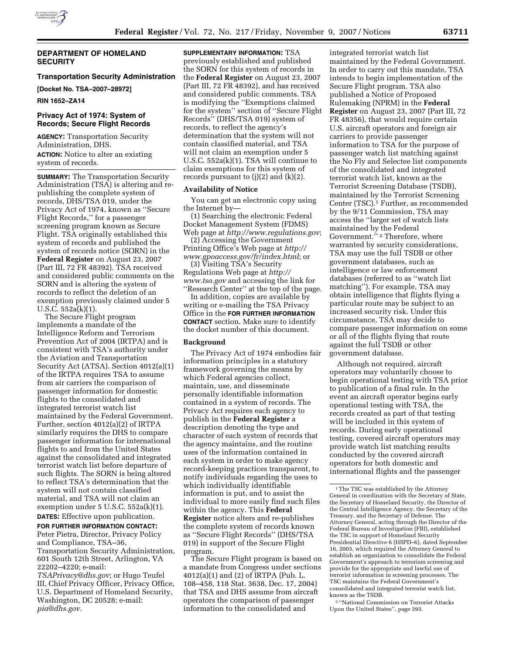

### **DEPARTMENT OF HOMELAND SECURITY**

# **Transportation Security Administration**

**[Docket No. TSA–2007–28972]** 

**RIN 1652–ZA14** 

# **Privacy Act of 1974: System of Records; Secure Flight Records**

**AGENCY:** Transportation Security Administration, DHS. **ACTION:** Notice to alter an existing system of records.

**SUMMARY:** The Transportation Security Administration (TSA) is altering and republishing the complete system of records, DHS/TSA 019, under the Privacy Act of 1974, known as ''Secure Flight Records,'' for a passenger screening program known as Secure Flight. TSA originally established this system of records and published the system of records notice (SORN) in the **Federal Register** on August 23, 2007 (Part III, 72 FR 48392). TSA received and considered public comments on the SORN and is altering the system of records to reflect the deletion of an exemption previously claimed under 5 U.S.C. 552a(k)(1).

The Secure Flight program implements a mandate of the Intelligence Reform and Terrorism Prevention Act of 2004 (IRTPA) and is consistent with TSA's authority under the Aviation and Transportation Security Act (ATSA). Section 4012(a)(1) of the IRTPA requires TSA to assume from air carriers the comparison of passenger information for domestic flights to the consolidated and integrated terrorist watch list maintained by the Federal Government. Further, section 4012(a)(2) of IRTPA similarly requires the DHS to compare passenger information for international flights to and from the United States against the consolidated and integrated terrorist watch list before departure of such flights. The SORN is being altered to reflect TSA's determination that the system will not contain classified material, and TSA will not claim an exemption under 5 U.S.C. 552a(k)(1).

**DATES:** Effective upon publication. **FOR FURTHER INFORMATION CONTACT:** 

Peter Pietra, Director, Privacy Policy and Compliance, TSA–36, Transportation Security Administration, 601 South 12th Street, Arlington, VA 22202–4220; e-mail:

*TSAPrivacy@dhs.gov*; or Hugo Teufel III, Chief Privacy Officer, Privacy Office, U.S. Department of Homeland Security, Washington, DC 20528; e-mail: *pia@dhs.gov.* 

**SUPPLEMENTARY INFORMATION:** TSA previously established and published the SORN for this system of records in the **Federal Register** on August 23, 2007 (Part III, 72 FR 48392), and has received and considered public comments. TSA is modifying the ''Exemptions claimed for the system'' section of ''Secure Flight Records'' (DHS/TSA 019) system of records, to reflect the agency's determination that the system will not contain classified material, and TSA will not claim an exemption under 5 U.S.C. 552a(k)(1). TSA will continue to claim exemptions for this system of records pursuant to  $(j)(2)$  and  $(k)(2)$ .

### **Availability of Notice**

You can get an electronic copy using the Internet by—

(1) Searching the electronic Federal Docket Management System (FDMS) Web page at *http://www.regulations.gov*;

(2) Accessing the Government Printing Office's Web page at *http:// www.gpoaccess.gov/fr/index.html*; or

(3) Visiting TSA's Security Regulations Web page at *http:// www.tsa.gov* and accessing the link for ''Research Center'' at the top of the page.

In addition, copies are available by writing or e-mailing the TSA Privacy Office in the **FOR FURTHER INFORMATION CONTACT** section. Make sure to identify the docket number of this document.

### **Background**

The Privacy Act of 1974 embodies fair information principles in a statutory framework governing the means by which Federal agencies collect, maintain, use, and disseminate personally identifiable information contained in a system of records. The Privacy Act requires each agency to publish in the **Federal Register** a description denoting the type and character of each system of records that the agency maintains, and the routine uses of the information contained in each system in order to make agency record-keeping practices transparent, to notify individuals regarding the uses to which individually identifiable information is put, and to assist the individual to more easily find such files within the agency. This **Federal Register** notice alters and re-publishes the complete system of records known as ''Secure Flight Records'' (DHS/TSA 019) in support of the Secure Flight program.

The Secure Flight program is based on a mandate from Congress under sections 4012(a)(1) and (2) of IRTPA (Pub. L. 108–458, 118 Stat. 3638, Dec. 17, 2004) that TSA and DHS assume from aircraft operators the comparison of passenger information to the consolidated and

integrated terrorist watch list maintained by the Federal Government. In order to carry out this mandate, TSA intends to begin implementation of the Secure Flight program. TSA also published a Notice of Proposed Rulemaking (NPRM) in the **Federal Register** on August 23, 2007 (Part III, 72 FR 48356), that would require certain U.S. aircraft operators and foreign air carriers to provide passenger information to TSA for the purpose of passenger watch list matching against the No Fly and Selectee list components of the consolidated and integrated terrorist watch list, known as the Terrorist Screening Database (TSDB), maintained by the Terrorist Screening Center (TSC).<sup>1</sup> Further, as recommended by the 9/11 Commission, TSA may access the ''larger set of watch lists maintained by the Federal Government."<sup>2</sup> Therefore, where warranted by security considerations, TSA may use the full TSDB or other government databases, such as intelligence or law enforcement databases (referred to as ''watch list matching''). For example, TSA may obtain intelligence that flights flying a particular route may be subject to an increased security risk. Under this circumstance, TSA may decide to compare passenger information on some or all of the flights flying that route against the full TSDB or other government database.

Although not required, aircraft operators may voluntarily choose to begin operational testing with TSA prior to publication of a final rule. In the event an aircraft operator begins early operational testing with TSA, the records created as part of that testing will be included in this system of records. During early operational testing, covered aircraft operators may provide watch list matching results conducted by the covered aircraft operators for both domestic and international flights and the passenger

2 ''National Commission on Terrorist Attacks Upon the United States'', page 393.

<sup>&</sup>lt;sup>1</sup> The TSC was established by the Attorney General in coordination with the Secretary of State, the Secretary of Homeland Security, the Director of the Central Intelligence Agency, the Secretary of the Treasury, and the Secretary of Defense. The Attorney General, acting through the Director of the Federal Bureau of Investigation (FBI), established the TSC in support of Homeland Security Presidential Directive 6 (HSPD–6), dated September 16, 2003, which required the Attorney General to establish an organization to consolidate the Federal Government's approach to terrorism screening and provide for the appropriate and lawful use of terrorist information in screening processes. The TSC maintains the Federal Government's consolidated and integrated terrorist watch list, known as the TSDB.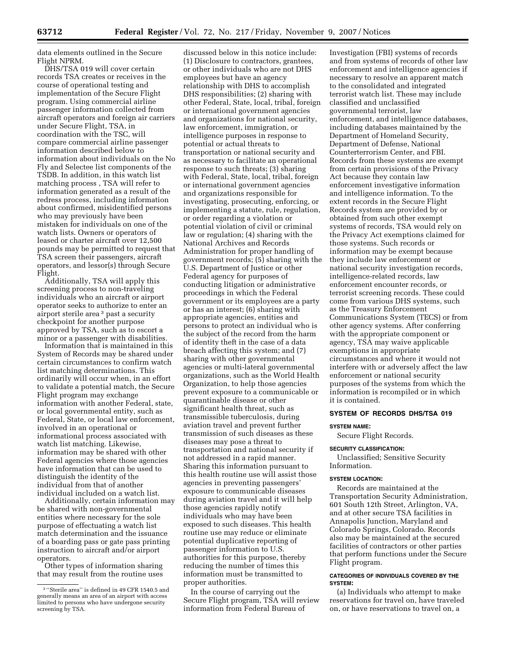data elements outlined in the Secure Flight NPRM.

DHS/TSA 019 will cover certain records TSA creates or receives in the course of operational testing and implementation of the Secure Flight program. Using commercial airline passenger information collected from aircraft operators and foreign air carriers under Secure Flight, TSA, in coordination with the TSC, will compare commercial airline passenger information described below to information about individuals on the No Fly and Selectee list components of the TSDB. In addition, in this watch list matching process , TSA will refer to information generated as a result of the redress process, including information about confirmed, misidentified persons who may previously have been mistaken for individuals on one of the watch lists. Owners or operators of leased or charter aircraft over 12,500 pounds may be permitted to request that TSA screen their passengers, aircraft operators, and lessor(s) through Secure Flight.

Additionally, TSA will apply this screening process to non-traveling individuals who an aircraft or airport operator seeks to authorize to enter an airport sterile area 3 past a security checkpoint for another purpose approved by TSA, such as to escort a minor or a passenger with disabilities.

Information that is maintained in this System of Records may be shared under certain circumstances to confirm watch list matching determinations. This ordinarily will occur when, in an effort to validate a potential match, the Secure Flight program may exchange information with another Federal, state, or local governmental entity, such as Federal, State, or local law enforcement, involved in an operational or informational process associated with watch list matching. Likewise, information may be shared with other Federal agencies where those agencies have information that can be used to distinguish the identity of the individual from that of another individual included on a watch list.

Additionally, certain information may be shared with non-governmental entities where necessary for the sole purpose of effectuating a watch list match determination and the issuance of a boarding pass or gate pass printing instruction to aircraft and/or airport operators.

Other types of information sharing that may result from the routine uses

discussed below in this notice include: (1) Disclosure to contractors, grantees, or other individuals who are not DHS employees but have an agency relationship with DHS to accomplish DHS responsibilities; (2) sharing with other Federal, State, local, tribal, foreign or international government agencies and organizations for national security, law enforcement, immigration, or intelligence purposes in response to potential or actual threats to transportation or national security and as necessary to facilitate an operational response to such threats; (3) sharing with Federal, State, local, tribal, foreign or international government agencies and organizations responsible for investigating, prosecuting, enforcing, or implementing a statute, rule, regulation, or order regarding a violation or potential violation of civil or criminal law or regulation; (4) sharing with the National Archives and Records Administration for proper handling of government records; (5) sharing with the U.S. Department of Justice or other Federal agency for purposes of conducting litigation or administrative proceedings in which the Federal government or its employees are a party or has an interest; (6) sharing with appropriate agencies, entities and persons to protect an individual who is the subject of the record from the harm of identity theft in the case of a data breach affecting this system; and (7) sharing with other governmental agencies or multi-lateral governmental organizations, such as the World Health Organization, to help those agencies prevent exposure to a communicable or quarantinable disease or other significant health threat, such as transmissible tuberculosis, during aviation travel and prevent further transmission of such diseases as these diseases may pose a threat to transportation and national security if not addressed in a rapid manner. Sharing this information pursuant to this health routine use will assist those agencies in preventing passengers' exposure to communicable diseases during aviation travel and it will help those agencies rapidly notify individuals who may have been exposed to such diseases. This health routine use may reduce or eliminate potential duplicative reporting of passenger information to U.S. authorities for this purpose, thereby reducing the number of times this information must be transmitted to proper authorities.

In the course of carrying out the Secure Flight program, TSA will review information from Federal Bureau of

Investigation (FBI) systems of records and from systems of records of other law enforcement and intelligence agencies if necessary to resolve an apparent match to the consolidated and integrated terrorist watch list. These may include classified and unclassified governmental terrorist, law enforcement, and intelligence databases, including databases maintained by the Department of Homeland Security, Department of Defense, National Counterterrorism Center, and FBI. Records from these systems are exempt from certain provisions of the Privacy Act because they contain law enforcement investigative information and intelligence information. To the extent records in the Secure Flight Records system are provided by or obtained from such other exempt systems of records, TSA would rely on the Privacy Act exemptions claimed for those systems. Such records or information may be exempt because they include law enforcement or national security investigation records, intelligence-related records, law enforcement encounter records, or terrorist screening records. These could come from various DHS systems, such as the Treasury Enforcement Communications System (TECS) or from other agency systems. After conferring with the appropriate component or agency, TSA may waive applicable exemptions in appropriate circumstances and where it would not interfere with or adversely affect the law enforcement or national security purposes of the systems from which the information is recompiled or in which it is contained.

# **SYSTEM OF RECORDS DHS/TSA 019**

### **SYSTEM NAME:**

Secure Flight Records.

# **SECURITY CLASSIFICATION:**

Unclassified; Sensitive Security Information.

### **SYSTEM LOCATION:**

Records are maintained at the Transportation Security Administration, 601 South 12th Street, Arlington, VA, and at other secure TSA facilities in Annapolis Junction, Maryland and Colorado Springs, Colorado. Records also may be maintained at the secured facilities of contractors or other parties that perform functions under the Secure Flight program.

# **CATEGORIES OF INDIVIDUALS COVERED BY THE SYSTEM:**

(a) Individuals who attempt to make reservations for travel on, have traveled on, or have reservations to travel on, a

<sup>3</sup> ''Sterile area'' is defined in 49 CFR 1540.5 and generally means an area of an airport with access limited to persons who have undergone security screening by TSA.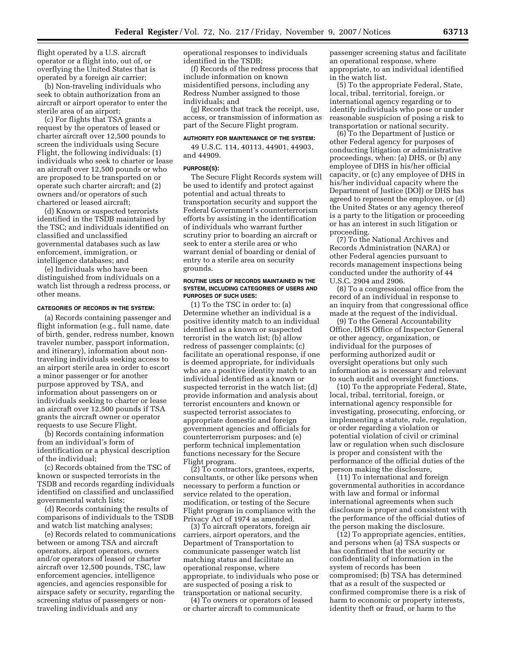flight operated by a U.S. aircraft operator or a flight into, out of, or overflying the United States that is operated by a foreign air carrier;

(b) Non-traveling individuals who seek to obtain authorization from an aircraft or airport operator to enter the sterile area of an airport;

(c) For flights that TSA grants a request by the operators of leased or charter aircraft over 12,500 pounds to screen the individuals using Secure Flight, the following individuals: (1) individuals who seek to charter or lease an aircraft over 12,500 pounds or who are proposed to be transported on or operate such charter aircraft; and (2) owners and/or operators of such chartered or leased aircraft;

(d) Known or suspected terrorists identified in the TSDB maintained by the TSC; and individuals identified on classified and unclassified governmental databases such as law enforcement, immigration, or intelligence databases; and

(e) Individuals who have been distinguished from individuals on a watch list through a redress process, or other means.

### **CATEGORIES OF RECORDS IN THE SYSTEM:**

(a) Records containing passenger and flight information (e.g., full name, date of birth, gender, redress number, known traveler number, passport information, and itinerary), information about nontraveling individuals seeking access to an airport sterile area in order to escort a minor passenger or for another purpose approved by TSA, and information about passengers on or individuals seeking to charter or lease an aircraft over 12,500 pounds if TSA grants the aircraft owner or operator requests to use Secure Flight.

(b) Records containing information from an individual's form of identification or a physical description of the individual;

(c) Records obtained from the TSC of known or suspected terrorists in the TSDB and records regarding individuals identified on classified and unclassified governmental watch lists;

(d) Records containing the results of comparisons of individuals to the TSDB and watch list matching analyses;

(e) Records related to communications between or among TSA and aircraft operators, airport operators, owners and/or operators of leased or charter aircraft over 12,500 pounds, TSC, law enforcement agencies, intelligence agencies, and agencies responsible for airspace safety or security, regarding the screening status of passengers or nontraveling individuals and any

operational responses to individuals identified in the TSDB;

(f) Records of the redress process that include information on known misidentified persons, including any Redress Number assigned to those individuals; and

(g) Records that track the receipt, use, access, or transmission of information as part of the Secure Flight program.

# **AUTHORITY FOR MAINTENANCE OF THE SYSTEM:**

49 U.S.C. 114, 40113, 44901, 44903, and 44909.

# **PURPOSE(S):**

The Secure Flight Records system will be used to identify and protect against potential and actual threats to transportation security and support the Federal Government's counterterrorism efforts by assisting in the identification of individuals who warrant further scrutiny prior to boarding an aircraft or seek to enter a sterile area or who warrant denial of boarding or denial of entry to a sterile area on security grounds.

#### **ROUTINE USES OF RECORDS MAINTAINED IN THE SYSTEM, INCLUDING CATEGORIES OF USERS AND PURPOSES OF SUCH USES:**

(1) To the TSC in order to: (a) Determine whether an individual is a positive identity match to an individual identified as a known or suspected terrorist in the watch list; (b) allow redress of passenger complaints; (c) facilitate an operational response, if one is deemed appropriate, for individuals who are a positive identity match to an individual identified as a known or suspected terrorist in the watch list; (d) provide information and analysis about terrorist encounters and known or suspected terrorist associates to appropriate domestic and foreign government agencies and officials for counterterrorism purposes; and (e) perform technical implementation functions necessary for the Secure Flight program.

(2) To contractors, grantees, experts, consultants, or other like persons when necessary to perform a function or service related to the operation, modification, or testing of the Secure Flight program in compliance with the Privacy Act of 1974 as amended.

(3) To aircraft operators, foreign air carriers, airport operators, and the Department of Transportation to communicate passenger watch list matching status and facilitate an operational response, where appropriate, to individuals who pose or are suspected of posing a risk to transportation or national security.

(4) To owners or operators of leased or charter aircraft to communicate

passenger screening status and facilitate an operational response, where appropriate, to an individual identified in the watch list.

(5) To the appropriate Federal, State, local, tribal, territorial, foreign, or international agency regarding or to identify individuals who pose or under reasonable suspicion of posing a risk to transportation or national security.

(6) To the Department of Justice or other Federal agency for purposes of conducting litigation or administrative proceedings, when: (a) DHS, or (b) any employee of DHS in his/her official capacity, or (c) any employee of DHS in his/her individual capacity where the Department of Justice (DOJ) or DHS has agreed to represent the employee, or (d) the United States or any agency thereof is a party to the litigation or proceeding or has an interest in such litigation or proceeding.

(7) To the National Archives and Records Administration (NARA) or other Federal agencies pursuant to records management inspections being conducted under the authority of 44 U.S.C. 2904 and 2906.

(8) To a congressional office from the record of an individual in response to an inquiry from that congressional office made at the request of the individual.

(9) To the General Accountability Office, DHS Office of Inspector General or other agency, organization, or individual for the purposes of performing authorized audit or oversight operations but only such information as is necessary and relevant to such audit and oversight functions.

(10) To the appropriate Federal, State, local, tribal, territorial, foreign, or international agency responsible for investigating, prosecuting, enforcing, or implementing a statute, rule, regulation, or order regarding a violation or potential violation of civil or criminal law or regulation when such disclosure is proper and consistent with the performance of the official duties of the person making the disclosure,

(11) To international and foreign governmental authorities in accordance with law and formal or informal international agreements when such disclosure is proper and consistent with the performance of the official duties of the person making the disclosure.

(12) To appropriate agencies, entities, and persons when (a) TSA suspects or has confirmed that the security or confidentiality of information in the system of records has been compromised; (b) TSA has determined that as a result of the suspected or confirmed compromise there is a risk of harm to economic or property interests, identity theft or fraud, or harm to the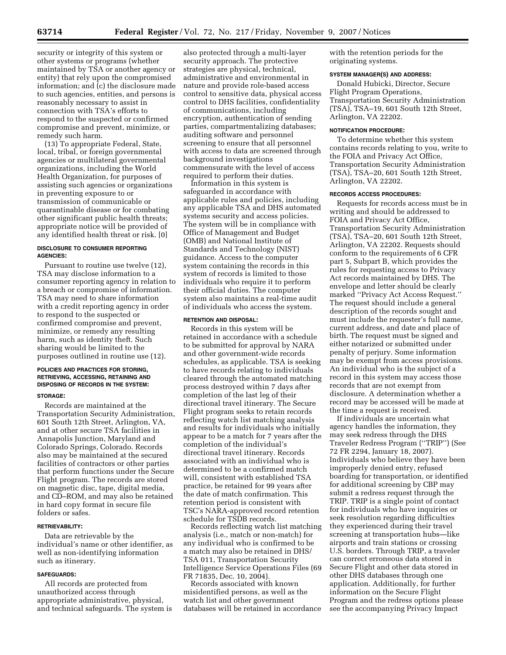security or integrity of this system or other systems or programs (whether maintained by TSA or another agency or entity) that rely upon the compromised information; and (c) the disclosure made to such agencies, entities, and persons is reasonably necessary to assist in connection with TSA's efforts to respond to the suspected or confirmed compromise and prevent, minimize, or remedy such harm.

(13) To appropriate Federal, State, local, tribal, or foreign governmental agencies or multilateral governmental organizations, including the World Health Organization, for purposes of assisting such agencies or organizations in preventing exposure to or transmission of communicable or quarantinable disease or for combating other significant public health threats; appropriate notice will be provided of any identified health threat or risk. [0]

### **DISCLOSURE TO CONSUMER REPORTING AGENCIES:**

Pursuant to routine use twelve (12), TSA may disclose information to a consumer reporting agency in relation to a breach or compromise of information. TSA may need to share information with a credit reporting agency in order to respond to the suspected or confirmed compromise and prevent, minimize, or remedy any resulting harm, such as identity theft. Such sharing would be limited to the purposes outlined in routine use (12).

### **POLICIES AND PRACTICES FOR STORING, RETRIEVING, ACCESSING, RETAINING AND DISPOSING OF RECORDS IN THE SYSTEM:**

#### **STORAGE:**

Records are maintained at the Transportation Security Administration, 601 South 12th Street, Arlington, VA, and at other secure TSA facilities in Annapolis Junction, Maryland and Colorado Springs, Colorado. Records also may be maintained at the secured facilities of contractors or other parties that perform functions under the Secure Flight program. The records are stored on magnetic disc, tape, digital media, and CD–ROM, and may also be retained in hard copy format in secure file folders or safes.

## **RETRIEVABILITY:**

Data are retrievable by the individual's name or other identifier, as well as non-identifying information such as itinerary.

#### **SAFEGUARDS:**

All records are protected from unauthorized access through appropriate administrative, physical, and technical safeguards. The system is

also protected through a multi-layer security approach. The protective strategies are physical, technical, administrative and environmental in nature and provide role-based access control to sensitive data, physical access control to DHS facilities, confidentiality of communications, including encryption, authentication of sending parties, compartmentalizing databases; auditing software and personnel screening to ensure that all personnel with access to data are screened through background investigations commensurate with the level of access required to perform their duties.

Information in this system is safeguarded in accordance with applicable rules and policies, including any applicable TSA and DHS automated systems security and access policies. The system will be in compliance with Office of Management and Budget (OMB) and National Institute of Standards and Technology (NIST) guidance. Access to the computer system containing the records in this system of records is limited to those individuals who require it to perform their official duties. The computer system also maintains a real-time audit of individuals who access the system.

#### **RETENTION AND DISPOSAL:**

Records in this system will be retained in accordance with a schedule to be submitted for approval by NARA and other government-wide records schedules, as applicable. TSA is seeking to have records relating to individuals cleared through the automated matching process destroyed within 7 days after completion of the last leg of their directional travel itinerary. The Secure Flight program seeks to retain records reflecting watch list matching analysis and results for individuals who initially appear to be a match for 7 years after the completion of the individual's directional travel itinerary. Records associated with an individual who is determined to be a confirmed match will, consistent with established TSA practice, be retained for 99 years after the date of match confirmation. This retention period is consistent with TSC's NARA-approved record retention schedule for TSDB records.

Records reflecting watch list matching analysis (i.e., match or non-match) for any individual who is confirmed to be a match may also be retained in DHS/ TSA 011, Transportation Security Intelligence Service Operations Files (69 FR 71835, Dec. 10, 2004).

Records associated with known misidentified persons, as well as the watch list and other government databases will be retained in accordance with the retention periods for the originating systems.

# **SYSTEM MANAGER(S) AND ADDRESS:**

Donald Hubicki, Director, Secure Flight Program Operations, Transportation Security Administration (TSA), TSA–19, 601 South 12th Street, Arlington, VA 22202.

#### **NOTIFICATION PROCEDURE:**

To determine whether this system contains records relating to you, write to the FOIA and Privacy Act Office, Transportation Security Administration (TSA), TSA–20, 601 South 12th Street, Arlington, VA 22202.

### **RECORDS ACCESS PROCEDURES:**

Requests for records access must be in writing and should be addressed to FOIA and Privacy Act Office, Transportation Security Administration (TSA), TSA–20, 601 South 12th Street, Arlington, VA 22202. Requests should conform to the requirements of 6 CFR part 5, Subpart B, which provides the rules for requesting access to Privacy Act records maintained by DHS. The envelope and letter should be clearly marked ''Privacy Act Access Request.'' The request should include a general description of the records sought and must include the requester's full name, current address, and date and place of birth. The request must be signed and either notarized or submitted under penalty of perjury. Some information may be exempt from access provisions. An individual who is the subject of a record in this system may access those records that are not exempt from disclosure. A determination whether a record may be accessed will be made at the time a request is received.

If individuals are uncertain what agency handles the information, they may seek redress through the DHS Traveler Redress Program (''TRIP'') (See 72 FR 2294, January 18, 2007). Individuals who believe they have been improperly denied entry, refused boarding for transportation, or identified for additional screening by CBP may submit a redress request through the TRIP. TRIP is a single point of contact for individuals who have inquiries or seek resolution regarding difficulties they experienced during their travel screening at transportation hubs—like airports and train stations or crossing U.S. borders. Through TRIP, a traveler can correct erroneous data stored in Secure Flight and other data stored in other DHS databases through one application. Additionally, for further information on the Secure Flight Program and the redress options please see the accompanying Privacy Impact